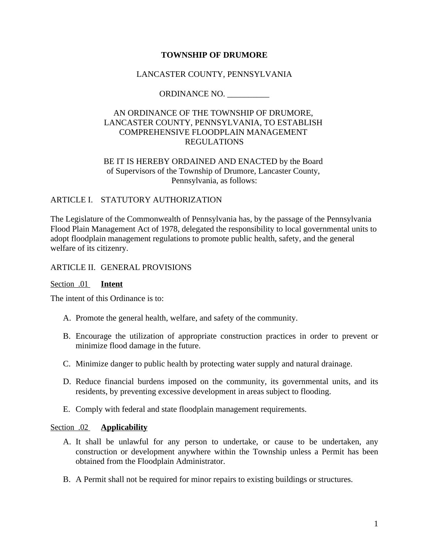### **TOWNSHIP OF DRUMORE**

### LANCASTER COUNTY, PENNSYLVANIA

ORDINANCE NO. *\_\_\_\_\_\_\_\_\_\_*

## AN ORDINANCE OF THE TOWNSHIP OF DRUMORE, LANCASTER COUNTY, PENNSYLVANIA, TO ESTABLISH COMPREHENSIVE FLOODPLAIN MANAGEMENT REGULATIONS

### BE IT IS HEREBY ORDAINED AND ENACTED by the Board of Supervisors of the Township of Drumore, Lancaster County, Pennsylvania, as follows:

### ARTICLE I. STATUTORY AUTHORIZATION

The Legislature of the Commonwealth of Pennsylvania has, by the passage of the Pennsylvania Flood Plain Management Act of 1978, delegated the responsibility to local governmental units to adopt floodplain management regulations to promote public health, safety, and the general welfare of its citizenry.

#### ARTICLE II. GENERAL PROVISIONS

#### Section .01 **Intent**

The intent of this Ordinance is to:

- A. Promote the general health, welfare, and safety of the community.
- B. Encourage the utilization of appropriate construction practices in order to prevent or minimize flood damage in the future.
- C. Minimize danger to public health by protecting water supply and natural drainage.
- D. Reduce financial burdens imposed on the community, its governmental units, and its residents, by preventing excessive development in areas subject to flooding.
- E. Comply with federal and state floodplain management requirements.

#### Section .02 **Applicability**

- A. It shall be unlawful for any person to undertake, or cause to be undertaken, any construction or development anywhere within the Township unless a Permit has been obtained from the Floodplain Administrator.
- B. A Permit shall not be required for minor repairs to existing buildings or structures.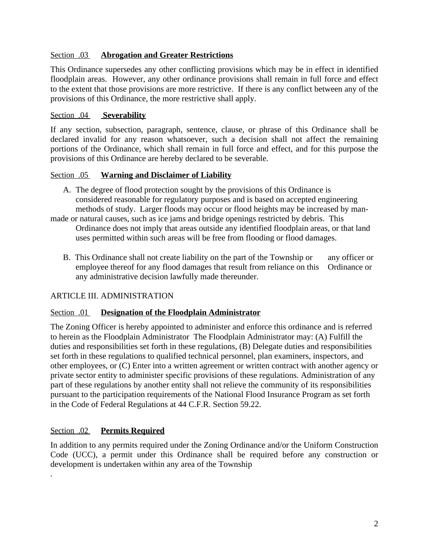## Section .03 **Abrogation and Greater Restrictions**

This Ordinance supersedes any other conflicting provisions which may be in effect in identified floodplain areas. However, any other ordinance provisions shall remain in full force and effect to the extent that those provisions are more restrictive. If there is any conflict between any of the provisions of this Ordinance, the more restrictive shall apply.

## Section .04 **Severability**

If any section, subsection, paragraph, sentence, clause, or phrase of this Ordinance shall be declared invalid for any reason whatsoever, such a decision shall not affect the remaining portions of the Ordinance, which shall remain in full force and effect, and for this purpose the provisions of this Ordinance are hereby declared to be severable.

### Section .05 **Warning and Disclaimer of Liability**

- A. The degree of flood protection sought by the provisions of this Ordinance is considered reasonable for regulatory purposes and is based on accepted engineering methods of study. Larger floods may occur or flood heights may be increased by man-
- made or natural causes, such as ice jams and bridge openings restricted by debris. This Ordinance does not imply that areas outside any identified floodplain areas, or that land uses permitted within such areas will be free from flooding or flood damages.
	- B. This Ordinance shall not create liability on the part of the Township or any officer or employee thereof for any flood damages that result from reliance on this Ordinance or any administrative decision lawfully made thereunder.

## ARTICLE III. ADMINISTRATION

#### Section .01 **Designation of the Floodplain Administrator**

The Zoning Officer is hereby appointed to administer and enforce this ordinance and is referred to herein as the Floodplain Administrator The Floodplain Administrator may: (A) Fulfill the duties and responsibilities set forth in these regulations, (B) Delegate duties and responsibilities set forth in these regulations to qualified technical personnel, plan examiners, inspectors, and other employees, or (C) Enter into a written agreement or written contract with another agency or private sector entity to administer specific provisions of these regulations. Administration of any part of these regulations by another entity shall not relieve the community of its responsibilities pursuant to the participation requirements of the National Flood Insurance Program as set forth in the Code of Federal Regulations at 44 C.F.R. Section 59.22.

## Section .02 **Permits Required**

*.*

In addition to any permits required under the Zoning Ordinance and/or the Uniform Construction Code (UCC), a permit under this Ordinance shall be required before any construction or development is undertaken within any area of the Township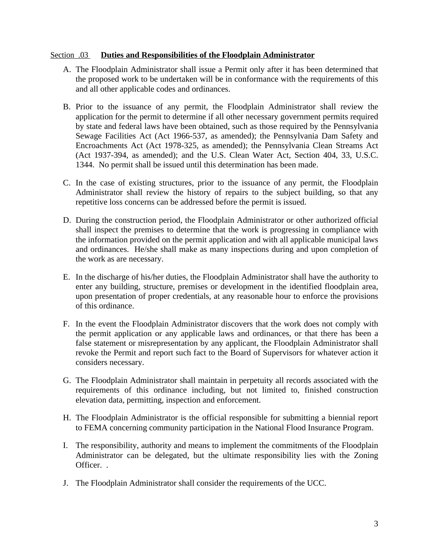#### Section .03 **Duties and Responsibilities of the Floodplain Administrator**

- A. The Floodplain Administrator shall issue a Permit only after it has been determined that the proposed work to be undertaken will be in conformance with the requirements of this and all other applicable codes and ordinances.
- B. Prior to the issuance of any permit, the Floodplain Administrator shall review the application for the permit to determine if all other necessary government permits required by state and federal laws have been obtained, such as those required by the Pennsylvania Sewage Facilities Act (Act 1966-537, as amended); the Pennsylvania Dam Safety and Encroachments Act (Act 1978-325, as amended); the Pennsylvania Clean Streams Act (Act 1937-394, as amended); and the U.S. Clean Water Act, Section 404, 33, U.S.C. 1344. No permit shall be issued until this determination has been made.
- C. In the case of existing structures, prior to the issuance of any permit, the Floodplain Administrator shall review the history of repairs to the subject building, so that any repetitive loss concerns can be addressed before the permit is issued.
- D. During the construction period, the Floodplain Administrator or other authorized official shall inspect the premises to determine that the work is progressing in compliance with the information provided on the permit application and with all applicable municipal laws and ordinances. He/she shall make as many inspections during and upon completion of the work as are necessary.
- E. In the discharge of his/her duties, the Floodplain Administrator shall have the authority to enter any building, structure, premises or development in the identified floodplain area, upon presentation of proper credentials, at any reasonable hour to enforce the provisions of this ordinance.
- F. In the event the Floodplain Administrator discovers that the work does not comply with the permit application or any applicable laws and ordinances, or that there has been a false statement or misrepresentation by any applicant, the Floodplain Administrator shall revoke the Permit and report such fact to the Board of Supervisors for whatever action it considers necessary.
- G. The Floodplain Administrator shall maintain in perpetuity all records associated with the requirements of this ordinance including, but not limited to, finished construction elevation data, permitting, inspection and enforcement.
- H. The Floodplain Administrator is the official responsible for submitting a biennial report to FEMA concerning community participation in the National Flood Insurance Program.
- I. The responsibility, authority and means to implement the commitments of the Floodplain Administrator can be delegated, but the ultimate responsibility lies with the Zoning Officer. .
- J. The Floodplain Administrator shall consider the requirements of the UCC.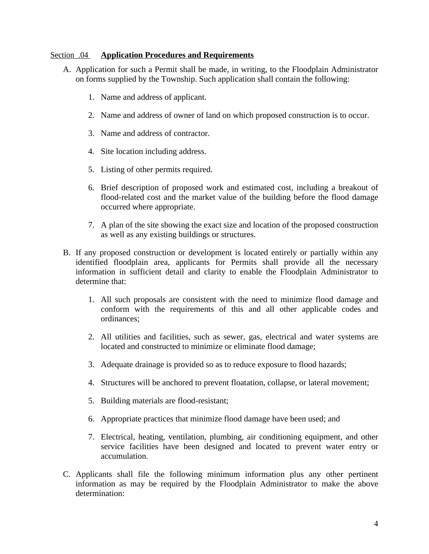#### Section .04 **Application Procedures and Requirements**

- A. Application for such a Permit shall be made, in writing, to the Floodplain Administrator on forms supplied by the Township. Such application shall contain the following:
	- 1. Name and address of applicant.
	- 2. Name and address of owner of land on which proposed construction is to occur.
	- 3. Name and address of contractor.
	- 4. Site location including address.
	- 5. Listing of other permits required.
	- 6. Brief description of proposed work and estimated cost, including a breakout of flood-related cost and the market value of the building before the flood damage occurred where appropriate.
	- 7. A plan of the site showing the exact size and location of the proposed construction as well as any existing buildings or structures.
- B. If any proposed construction or development is located entirely or partially within any identified floodplain area, applicants for Permits shall provide all the necessary information in sufficient detail and clarity to enable the Floodplain Administrator to determine that:
	- 1. All such proposals are consistent with the need to minimize flood damage and conform with the requirements of this and all other applicable codes and ordinances;
	- 2. All utilities and facilities, such as sewer, gas, electrical and water systems are located and constructed to minimize or eliminate flood damage;
	- 3. Adequate drainage is provided so as to reduce exposure to flood hazards;
	- 4. Structures will be anchored to prevent floatation, collapse, or lateral movement;
	- 5. Building materials are flood-resistant;
	- 6. Appropriate practices that minimize flood damage have been used; and
	- 7. Electrical, heating, ventilation, plumbing, air conditioning equipment, and other service facilities have been designed and located to prevent water entry or accumulation.
- C. Applicants shall file the following minimum information plus any other pertinent information as may be required by the Floodplain Administrator to make the above determination: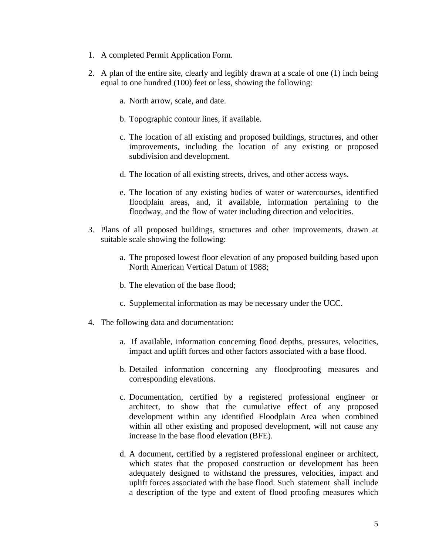- 1. A completed Permit Application Form.
- 2. A plan of the entire site, clearly and legibly drawn at a scale of one (1) inch being equal to one hundred (100) feet or less, showing the following:
	- a. North arrow, scale, and date.
	- b. Topographic contour lines, if available.
	- c. The location of all existing and proposed buildings, structures, and other improvements, including the location of any existing or proposed subdivision and development.
	- d. The location of all existing streets, drives, and other access ways.
	- e. The location of any existing bodies of water or watercourses, identified floodplain areas, and, if available, information pertaining to the floodway, and the flow of water including direction and velocities.
- 3. Plans of all proposed buildings, structures and other improvements, drawn at suitable scale showing the following:
	- a. The proposed lowest floor elevation of any proposed building based upon North American Vertical Datum of 1988;
	- b. The elevation of the base flood;
	- c. Supplemental information as may be necessary under the UCC.
- 4. The following data and documentation:
	- a. If available, information concerning flood depths, pressures, velocities, impact and uplift forces and other factors associated with a base flood.
	- b. Detailed information concerning any floodproofing measures and corresponding elevations.
	- c. Documentation, certified by a registered professional engineer or architect, to show that the cumulative effect of any proposed development within any identified Floodplain Area when combined within all other existing and proposed development, will not cause any increase in the base flood elevation (BFE).
	- d. A document, certified by a registered professional engineer or architect, which states that the proposed construction or development has been adequately designed to withstand the pressures, velocities, impact and uplift forces associated with the base flood. Such statement shall include a description of the type and extent of flood proofing measures which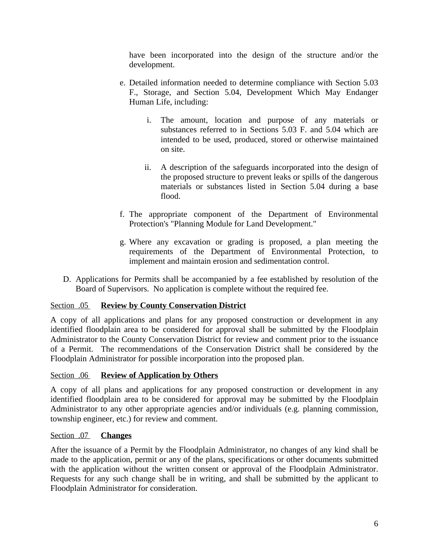have been incorporated into the design of the structure and/or the development.

- e. Detailed information needed to determine compliance with Section 5.03 F., Storage, and Section 5.04, Development Which May Endanger Human Life, including:
	- i. The amount, location and purpose of any materials or substances referred to in Sections 5.03 F. and 5.04 which are intended to be used, produced, stored or otherwise maintained on site.
	- ii. A description of the safeguards incorporated into the design of the proposed structure to prevent leaks or spills of the dangerous materials or substances listed in Section 5.04 during a base flood.
- f. The appropriate component of the Department of Environmental Protection's "Planning Module for Land Development."
- g. Where any excavation or grading is proposed, a plan meeting the requirements of the Department of Environmental Protection, to implement and maintain erosion and sedimentation control.
- D. Applications for Permits shall be accompanied by a fee established by resolution of the Board of Supervisors. No application is complete without the required fee.

## Section .05 **Review by County Conservation District**

A copy of all applications and plans for any proposed construction or development in any identified floodplain area to be considered for approval shall be submitted by the Floodplain Administrator to the County Conservation District for review and comment prior to the issuance of a Permit. The recommendations of the Conservation District shall be considered by the Floodplain Administrator for possible incorporation into the proposed plan.

#### Section .06 **Review of Application by Others**

A copy of all plans and applications for any proposed construction or development in any identified floodplain area to be considered for approval may be submitted by the Floodplain Administrator to any other appropriate agencies and/or individuals (e.g. planning commission, township engineer, etc.) for review and comment.

### Section .07 **Changes**

After the issuance of a Permit by the Floodplain Administrator, no changes of any kind shall be made to the application, permit or any of the plans, specifications or other documents submitted with the application without the written consent or approval of the Floodplain Administrator. Requests for any such change shall be in writing, and shall be submitted by the applicant to Floodplain Administrator for consideration.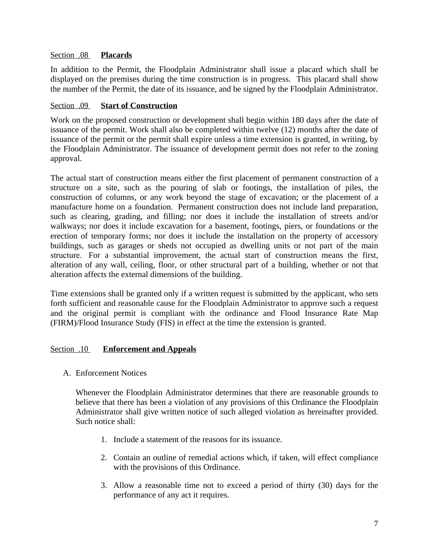### Section .08 **Placards**

In addition to the Permit, the Floodplain Administrator shall issue a placard which shall be displayed on the premises during the time construction is in progress. This placard shall show the number of the Permit, the date of its issuance, and be signed by the Floodplain Administrator.

## Section .09 **Start of Construction**

Work on the proposed construction or development shall begin within 180 days after the date of issuance of the permit. Work shall also be completed within twelve (12) months after the date of issuance of the permit or the permit shall expire unless a time extension is granted, in writing, by the Floodplain Administrator. The issuance of development permit does not refer to the zoning approval.

The actual start of construction means either the first placement of permanent construction of a structure on a site, such as the pouring of slab or footings, the installation of piles, the construction of columns, or any work beyond the stage of excavation; or the placement of a manufacture home on a foundation. Permanent construction does not include land preparation, such as clearing, grading, and filling; nor does it include the installation of streets and/or walkways; nor does it include excavation for a basement, footings, piers, or foundations or the erection of temporary forms; nor does it include the installation on the property of accessory buildings, such as garages or sheds not occupied as dwelling units or not part of the main structure. For a substantial improvement, the actual start of construction means the first, alteration of any wall, ceiling, floor, or other structural part of a building, whether or not that alteration affects the external dimensions of the building.

Time extensions shall be granted only if a written request is submitted by the applicant, who sets forth sufficient and reasonable cause for the Floodplain Administrator to approve such a request and the original permit is compliant with the ordinance and Flood Insurance Rate Map (FIRM)/Flood Insurance Study (FIS) in effect at the time the extension is granted.

## Section .10 **Enforcement and Appeals**

A. Enforcement Notices

Whenever the Floodplain Administrator determines that there are reasonable grounds to believe that there has been a violation of any provisions of this Ordinance the Floodplain Administrator shall give written notice of such alleged violation as hereinafter provided. Such notice shall:

- 1. Include a statement of the reasons for its issuance.
- 2. Contain an outline of remedial actions which, if taken, will effect compliance with the provisions of this Ordinance.
- 3. Allow a reasonable time not to exceed a period of thirty (30) days for the performance of any act it requires.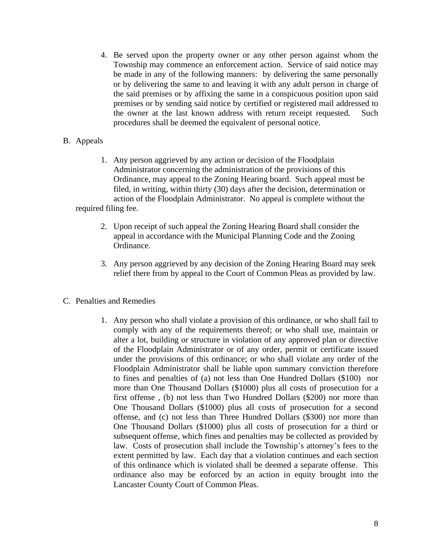- 4. Be served upon the property owner or any other person against whom the Township may commence an enforcement action. Service of said notice may be made in any of the following manners: by delivering the same personally or by delivering the same to and leaving it with any adult person in charge of the said premises or by affixing the same in a conspicuous position upon said premises or by sending said notice by certified or registered mail addressed to the owner at the last known address with return receipt requested. Such procedures shall be deemed the equivalent of personal notice.
- B. Appeals
	- 1. Any person aggrieved by any action or decision of the Floodplain Administrator concerning the administration of the provisions of this Ordinance, may appeal to the Zoning Hearing board. Such appeal must be filed, in writing, within thirty (30) days after the decision, determination or action of the Floodplain Administrator. No appeal is complete without the required filing fee.
		- 2. Upon receipt of such appeal the Zoning Hearing Board shall consider the appeal in accordance with the Municipal Planning Code and the Zoning Ordinance.
		- 3. Any person aggrieved by any decision of the Zoning Hearing Board may seek relief there from by appeal to the Court of Common Pleas as provided by law.
- C. Penalties and Remedies
	- 1. Any person who shall violate a provision of this ordinance, or who shall fail to comply with any of the requirements thereof; or who shall use, maintain or alter a lot, building or structure in violation of any approved plan or directive of the Floodplain Administrator or of any order, permit or certificate issued under the provisions of this ordinance; or who shall violate any order of the Floodplain Administrator shall be liable upon summary conviction therefore to fines and penalties of (a) not less than One Hundred Dollars (\$100) nor more than One Thousand Dollars (\$1000) plus all costs of prosecution for a first offense , (b) not less than Two Hundred Dollars (\$200) nor more than One Thousand Dollars (\$1000) plus all costs of prosecution for a second offense, and (c) not less than Three Hundred Dollars (\$300) nor more than One Thousand Dollars (\$1000) plus all costs of prosecution for a third or subsequent offense, which fines and penalties may be collected as provided by law. Costs of prosecution shall include the Township's attorney's fees to the extent permitted by law. Each day that a violation continues and each section of this ordinance which is violated shall be deemed a separate offense. This ordinance also may be enforced by an action in equity brought into the Lancaster County Court of Common Pleas.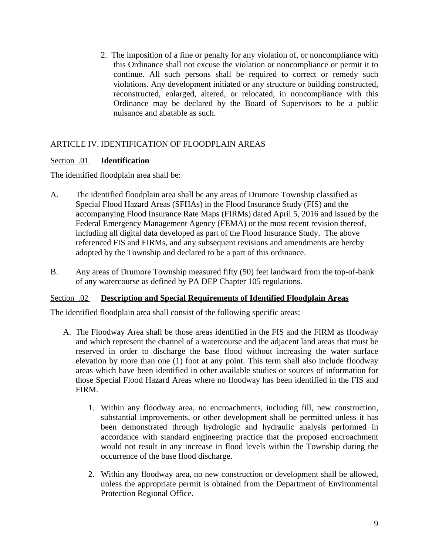2. The imposition of a fine or penalty for any violation of, or noncompliance with this Ordinance shall not excuse the violation or noncompliance or permit it to continue. All such persons shall be required to correct or remedy such violations. Any development initiated or any structure or building constructed, reconstructed, enlarged, altered, or relocated, in noncompliance with this Ordinance may be declared by the Board of Supervisors to be a public nuisance and abatable as such.

## ARTICLE IV. IDENTIFICATION OF FLOODPLAIN AREAS

## Section .01 **Identification**

The identified floodplain area shall be:

- A. The identified floodplain area shall be any areas of Drumore Township classified as Special Flood Hazard Areas (SFHAs) in the Flood Insurance Study (FIS) and the accompanying Flood Insurance Rate Maps (FIRMs) dated April 5, 2016 and issued by the Federal Emergency Management Agency (FEMA) or the most recent revision thereof, including all digital data developed as part of the Flood Insurance Study. The above referenced FIS and FIRMs, and any subsequent revisions and amendments are hereby adopted by the Township and declared to be a part of this ordinance.
- B. Any areas of Drumore Township measured fifty (50) feet landward from the top-of-bank of any watercourse as defined by PA DEP Chapter 105 regulations.

## Section .02 **Description and Special Requirements of Identified Floodplain Areas**

The identified floodplain area shall consist of the following specific areas:

- A. The Floodway Area shall be those areas identified in the FIS and the FIRM as floodway and which represent the channel of a watercourse and the adjacent land areas that must be reserved in order to discharge the base flood without increasing the water surface elevation by more than one (1) foot at any point. This term shall also include floodway areas which have been identified in other available studies or sources of information for those Special Flood Hazard Areas where no floodway has been identified in the FIS and FIRM.
	- 1. Within any floodway area, no encroachments, including fill, new construction, substantial improvements, or other development shall be permitted unless it has been demonstrated through hydrologic and hydraulic analysis performed in accordance with standard engineering practice that the proposed encroachment would not result in any increase in flood levels within the Township during the occurrence of the base flood discharge.
	- 2. Within any floodway area, no new construction or development shall be allowed, unless the appropriate permit is obtained from the Department of Environmental Protection Regional Office.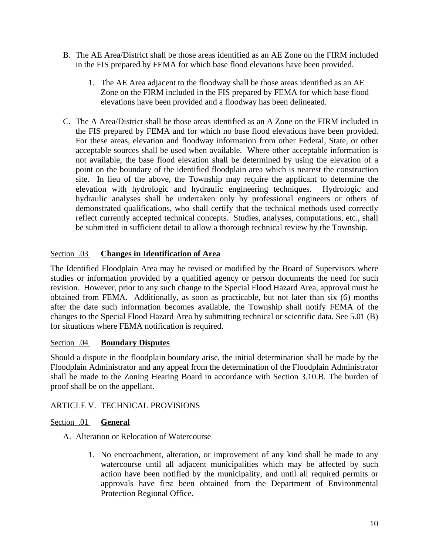- B. The AE Area/District shall be those areas identified as an AE Zone on the FIRM included in the FIS prepared by FEMA for which base flood elevations have been provided.
	- 1. The AE Area adjacent to the floodway shall be those areas identified as an AE Zone on the FIRM included in the FIS prepared by FEMA for which base flood elevations have been provided and a floodway has been delineated.
- C. The A Area/District shall be those areas identified as an A Zone on the FIRM included in the FIS prepared by FEMA and for which no base flood elevations have been provided. For these areas, elevation and floodway information from other Federal, State, or other acceptable sources shall be used when available. Where other acceptable information is not available, the base flood elevation shall be determined by using the elevation of a point on the boundary of the identified floodplain area which is nearest the construction site. In lieu of the above, the Township may require the applicant to determine the elevation with hydrologic and hydraulic engineering techniques. Hydrologic and hydraulic analyses shall be undertaken only by professional engineers or others of demonstrated qualifications, who shall certify that the technical methods used correctly reflect currently accepted technical concepts. Studies, analyses, computations, etc., shall be submitted in sufficient detail to allow a thorough technical review by the Township.

## Section .03 **Changes in Identification of Area**

The Identified Floodplain Area may be revised or modified by the Board of Supervisors where studies or information provided by a qualified agency or person documents the need for such revision. However, prior to any such change to the Special Flood Hazard Area, approval must be obtained from FEMA. Additionally, as soon as practicable, but not later than six (6) months after the date such information becomes available, the Township shall notify FEMA of the changes to the Special Flood Hazard Area by submitting technical or scientific data. See 5.01 (B) for situations where FEMA notification is required.

## Section .04 **Boundary Disputes**

Should a dispute in the floodplain boundary arise, the initial determination shall be made by the Floodplain Administrator and any appeal from the determination of the Floodplain Administrator shall be made to the Zoning Hearing Board in accordance with Section 3.10.B*.* The burden of proof shall be on the appellant.

## ARTICLE V. TECHNICAL PROVISIONS

## Section .01 **General**

- A. Alteration or Relocation of Watercourse
	- 1. No encroachment, alteration, or improvement of any kind shall be made to any watercourse until all adjacent municipalities which may be affected by such action have been notified by the municipality, and until all required permits or approvals have first been obtained from the Department of Environmental Protection Regional Office.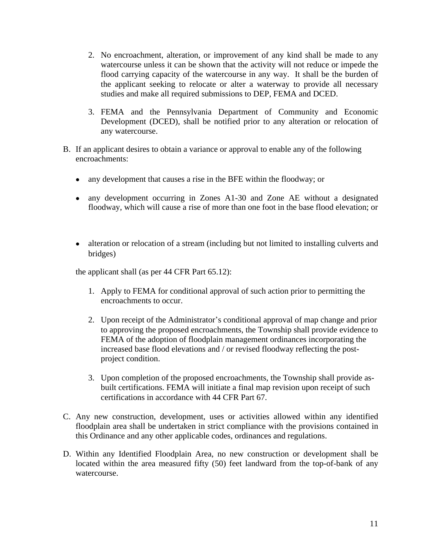- 2. No encroachment, alteration, or improvement of any kind shall be made to any watercourse unless it can be shown that the activity will not reduce or impede the flood carrying capacity of the watercourse in any way. It shall be the burden of the applicant seeking to relocate or alter a waterway to provide all necessary studies and make all required submissions to DEP, FEMA and DCED.
- 3. FEMA and the Pennsylvania Department of Community and Economic Development (DCED), shall be notified prior to any alteration or relocation of any watercourse.
- B. If an applicant desires to obtain a variance or approval to enable any of the following encroachments:
	- any development that causes a rise in the BFE within the floodway; or
	- any development occurring in Zones A1-30 and Zone AE without a designated floodway, which will cause a rise of more than one foot in the base flood elevation; or
	- alteration or relocation of a stream (including but not limited to installing culverts and bridges)

the applicant shall (as per 44 CFR Part 65.12):

- 1. Apply to FEMA for conditional approval of such action prior to permitting the encroachments to occur.
- 2. Upon receipt of the Administrator's conditional approval of map change and prior to approving the proposed encroachments, the Township shall provide evidence to FEMA of the adoption of floodplain management ordinances incorporating the increased base flood elevations and / or revised floodway reflecting the postproject condition.
- 3. Upon completion of the proposed encroachments, the Township shall provide asbuilt certifications. FEMA will initiate a final map revision upon receipt of such certifications in accordance with 44 CFR Part 67.
- C. Any new construction, development, uses or activities allowed within any identified floodplain area shall be undertaken in strict compliance with the provisions contained in this Ordinance and any other applicable codes, ordinances and regulations.
- D. Within any Identified Floodplain Area, no new construction or development shall be located within the area measured fifty (50) feet landward from the top-of-bank of any watercourse.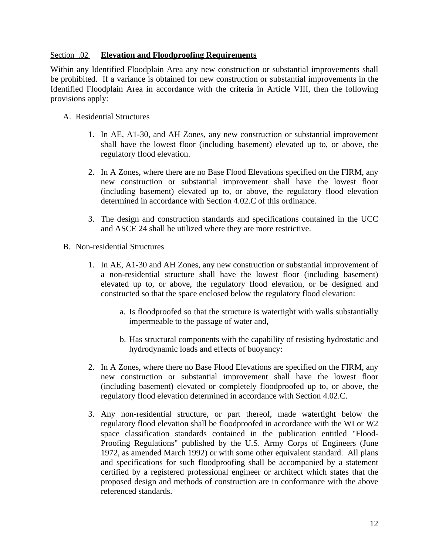### Section .02 **Elevation and Floodproofing Requirements**

Within any Identified Floodplain Area any new construction or substantial improvements shall be prohibited. If a variance is obtained for new construction or substantial improvements in the Identified Floodplain Area in accordance with the criteria in Article VIII, then the following provisions apply:

- A. Residential Structures
	- 1. In AE, A1-30, and AH Zones, any new construction or substantial improvement shall have the lowest floor (including basement) elevated up to, or above, the regulatory flood elevation.
	- 2. In A Zones, where there are no Base Flood Elevations specified on the FIRM, any new construction or substantial improvement shall have the lowest floor (including basement) elevated up to, or above, the regulatory flood elevation determined in accordance with Section 4.02.C of this ordinance.
	- 3. The design and construction standards and specifications contained in the UCC and ASCE 24 shall be utilized where they are more restrictive.
- B. Non-residential Structures
	- 1. In AE, A1-30 and AH Zones, any new construction or substantial improvement of a non-residential structure shall have the lowest floor (including basement) elevated up to, or above, the regulatory flood elevation, or be designed and constructed so that the space enclosed below the regulatory flood elevation:
		- a. Is floodproofed so that the structure is watertight with walls substantially impermeable to the passage of water and,
		- b. Has structural components with the capability of resisting hydrostatic and hydrodynamic loads and effects of buoyancy:
	- 2. In A Zones, where there no Base Flood Elevations are specified on the FIRM, any new construction or substantial improvement shall have the lowest floor (including basement) elevated or completely floodproofed up to, or above, the regulatory flood elevation determined in accordance with Section 4.02.C.
	- 3. Any non-residential structure, or part thereof, made watertight below the regulatory flood elevation shall be floodproofed in accordance with the WI or W2 space classification standards contained in the publication entitled "Flood-Proofing Regulations" published by the U.S. Army Corps of Engineers (June 1972, as amended March 1992) or with some other equivalent standard. All plans and specifications for such floodproofing shall be accompanied by a statement certified by a registered professional engineer or architect which states that the proposed design and methods of construction are in conformance with the above referenced standards.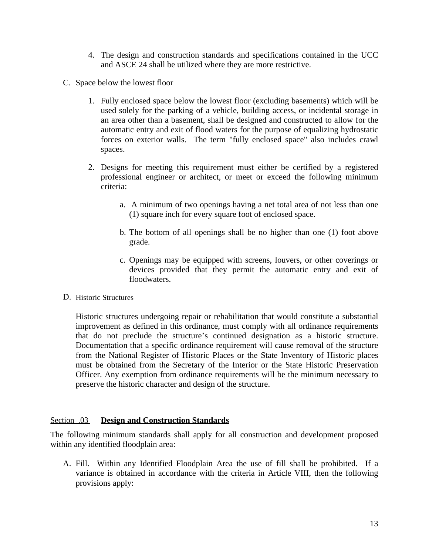- 4. The design and construction standards and specifications contained in the UCC and ASCE 24 shall be utilized where they are more restrictive.
- C. Space below the lowest floor
	- 1. Fully enclosed space below the lowest floor (excluding basements) which will be used solely for the parking of a vehicle, building access, or incidental storage in an area other than a basement, shall be designed and constructed to allow for the automatic entry and exit of flood waters for the purpose of equalizing hydrostatic forces on exterior walls. The term "fully enclosed space" also includes crawl spaces.
	- 2. Designs for meeting this requirement must either be certified by a registered professional engineer or architect, or meet or exceed the following minimum criteria:
		- a. A minimum of two openings having a net total area of not less than one (1) square inch for every square foot of enclosed space.
		- b. The bottom of all openings shall be no higher than one (1) foot above grade.
		- c. Openings may be equipped with screens, louvers, or other coverings or devices provided that they permit the automatic entry and exit of floodwaters.
- D. Historic Structures

Historic structures undergoing repair or rehabilitation that would constitute a substantial improvement as defined in this ordinance, must comply with all ordinance requirements that do not preclude the structure's continued designation as a historic structure. Documentation that a specific ordinance requirement will cause removal of the structure from the National Register of Historic Places or the State Inventory of Historic places must be obtained from the Secretary of the Interior or the State Historic Preservation Officer. Any exemption from ordinance requirements will be the minimum necessary to preserve the historic character and design of the structure.

#### Section .03 **Design and Construction Standards**

The following minimum standards shall apply for all construction and development proposed within any identified floodplain area:

A. Fill. Within any Identified Floodplain Area the use of fill shall be prohibited. If a variance is obtained in accordance with the criteria in Article VIII, then the following provisions apply: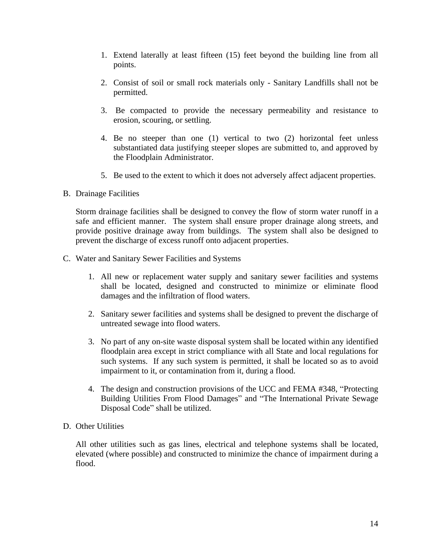- 1. Extend laterally at least fifteen (15) feet beyond the building line from all points.
- 2. Consist of soil or small rock materials only Sanitary Landfills shall not be permitted.
- 3. Be compacted to provide the necessary permeability and resistance to erosion, scouring, or settling.
- 4. Be no steeper than one (1) vertical to two (2) horizontal feet unless substantiated data justifying steeper slopes are submitted to, and approved by the Floodplain Administrator.
- 5. Be used to the extent to which it does not adversely affect adjacent properties.

B. Drainage Facilities

Storm drainage facilities shall be designed to convey the flow of storm water runoff in a safe and efficient manner. The system shall ensure proper drainage along streets, and provide positive drainage away from buildings. The system shall also be designed to prevent the discharge of excess runoff onto adjacent properties.

- C. Water and Sanitary Sewer Facilities and Systems
	- 1. All new or replacement water supply and sanitary sewer facilities and systems shall be located, designed and constructed to minimize or eliminate flood damages and the infiltration of flood waters.
	- 2. Sanitary sewer facilities and systems shall be designed to prevent the discharge of untreated sewage into flood waters.
	- 3. No part of any on-site waste disposal system shall be located within any identified floodplain area except in strict compliance with all State and local regulations for such systems. If any such system is permitted, it shall be located so as to avoid impairment to it, or contamination from it, during a flood.
	- 4. The design and construction provisions of the UCC and FEMA #348, "Protecting Building Utilities From Flood Damages" and "The International Private Sewage Disposal Code" shall be utilized.

#### D. Other Utilities

All other utilities such as gas lines, electrical and telephone systems shall be located, elevated (where possible) and constructed to minimize the chance of impairment during a flood.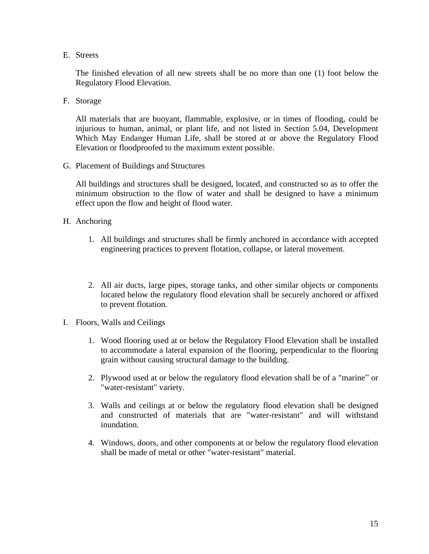E. Streets

The finished elevation of all new streets shall be no more than one (1) foot below the Regulatory Flood Elevation.

F. Storage

All materials that are buoyant, flammable, explosive, or in times of flooding, could be injurious to human, animal, or plant life, and not listed in Section 5.04, Development Which May Endanger Human Life, shall be stored at or above the Regulatory Flood Elevation or floodproofed to the maximum extent possible.

G. Placement of Buildings and Structures

All buildings and structures shall be designed, located, and constructed so as to offer the minimum obstruction to the flow of water and shall be designed to have a minimum effect upon the flow and height of flood water.

- H. Anchoring
	- 1. All buildings and structures shall be firmly anchored in accordance with accepted engineering practices to prevent flotation, collapse, or lateral movement.
	- 2. All air ducts, large pipes, storage tanks, and other similar objects or components located below the regulatory flood elevation shall be securely anchored or affixed to prevent flotation.
- I. Floors, Walls and Ceilings
	- 1. Wood flooring used at or below the Regulatory Flood Elevation shall be installed to accommodate a lateral expansion of the flooring, perpendicular to the flooring grain without causing structural damage to the building.
	- 2. Plywood used at or below the regulatory flood elevation shall be of a "marine" or "water-resistant" variety.
	- 3. Walls and ceilings at or below the regulatory flood elevation shall be designed and constructed of materials that are "water-resistant" and will withstand inundation.
	- 4. Windows, doors, and other components at or below the regulatory flood elevation shall be made of metal or other "water-resistant" material.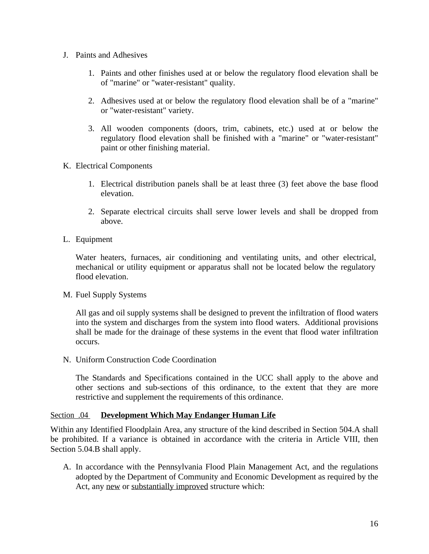- J. Paints and Adhesives
	- 1. Paints and other finishes used at or below the regulatory flood elevation shall be of "marine" or "water-resistant" quality.
	- 2. Adhesives used at or below the regulatory flood elevation shall be of a "marine" or "water-resistant" variety.
	- 3. All wooden components (doors, trim, cabinets, etc.) used at or below the regulatory flood elevation shall be finished with a "marine" or "water-resistant" paint or other finishing material.
- K. Electrical Components
	- 1. Electrical distribution panels shall be at least three (3) feet above the base flood elevation.
	- 2. Separate electrical circuits shall serve lower levels and shall be dropped from above.
- L. Equipment

Water heaters, furnaces, air conditioning and ventilating units, and other electrical, mechanical or utility equipment or apparatus shall not be located below the regulatory flood elevation.

M. Fuel Supply Systems

All gas and oil supply systems shall be designed to prevent the infiltration of flood waters into the system and discharges from the system into flood waters. Additional provisions shall be made for the drainage of these systems in the event that flood water infiltration occurs.

N. Uniform Construction Code Coordination

The Standards and Specifications contained in the UCC shall apply to the above and other sections and sub-sections of this ordinance, to the extent that they are more restrictive and supplement the requirements of this ordinance.

#### Section .04 **Development Which May Endanger Human Life**

Within any Identified Floodplain Area, any structure of the kind described in Section 504.A shall be prohibited. If a variance is obtained in accordance with the criteria in Article VIII, then Section 5.04.B shall apply.

A. In accordance with the Pennsylvania Flood Plain Management Act, and the regulations adopted by the Department of Community and Economic Development as required by the Act, any new or substantially improved structure which: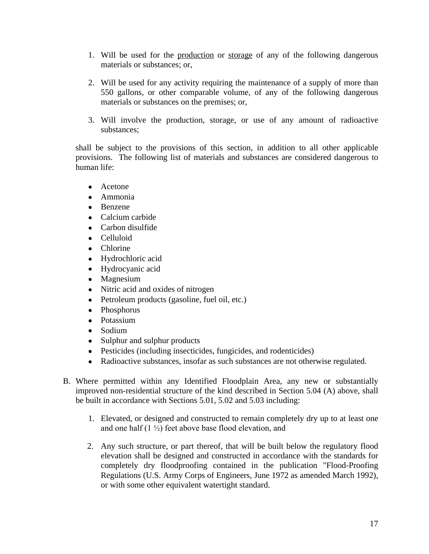- 1. Will be used for the production or storage of any of the following dangerous materials or substances; or,
- 2. Will be used for any activity requiring the maintenance of a supply of more than 550 gallons, or other comparable volume, of any of the following dangerous materials or substances on the premises; or,
- 3. Will involve the production, storage, or use of any amount of radioactive substances;

shall be subject to the provisions of this section, in addition to all other applicable provisions. The following list of materials and substances are considered dangerous to human life:

- Acetone
- Ammonia
- Benzene
- Calcium carbide
- Carbon disulfide
- Celluloid
- Chlorine
- Hydrochloric acid
- Hydrocyanic acid
- Magnesium
- Nitric acid and oxides of nitrogen
- Petroleum products (gasoline, fuel oil, etc.)
- Phosphorus
- Potassium
- Sodium
- Sulphur and sulphur products
- Pesticides (including insecticides, fungicides, and rodenticides)
- Radioactive substances, insofar as such substances are not otherwise regulated.
- B. Where permitted within any Identified Floodplain Area, any new or substantially improved non-residential structure of the kind described in Section 5.04 (A) above, shall be built in accordance with Sections 5.01, 5.02 and 5.03 including:
	- 1. Elevated, or designed and constructed to remain completely dry up to at least one and one half  $(1 \frac{1}{2})$  feet above base flood elevation, and
	- 2. Any such structure, or part thereof, that will be built below the regulatory flood elevation shall be designed and constructed in accordance with the standards for completely dry floodproofing contained in the publication "Flood-Proofing Regulations (U.S. Army Corps of Engineers, June 1972 as amended March 1992), or with some other equivalent watertight standard.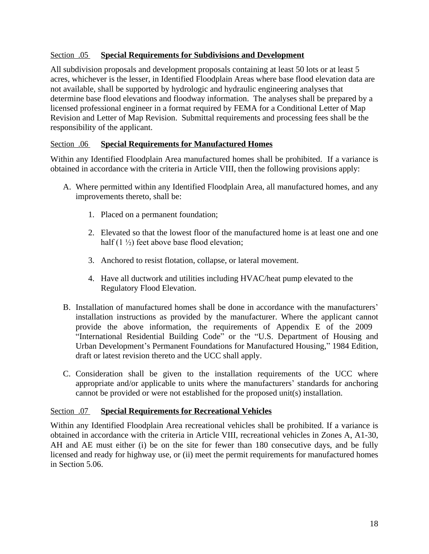## Section .05 **Special Requirements for Subdivisions and Development**

All subdivision proposals and development proposals containing at least 50 lots or at least 5 acres, whichever is the lesser, in Identified Floodplain Areas where base flood elevation data are not available, shall be supported by hydrologic and hydraulic engineering analyses that determine base flood elevations and floodway information. The analyses shall be prepared by a licensed professional engineer in a format required by FEMA for a Conditional Letter of Map Revision and Letter of Map Revision. Submittal requirements and processing fees shall be the responsibility of the applicant.

### Section .06 **Special Requirements for Manufactured Homes**

Within any Identified Floodplain Area manufactured homes shall be prohibited. If a variance is obtained in accordance with the criteria in Article VIII, then the following provisions apply:

- A. Where permitted within any Identified Floodplain Area, all manufactured homes, and any improvements thereto, shall be:
	- 1. Placed on a permanent foundation;
	- 2. Elevated so that the lowest floor of the manufactured home is at least one and one half  $(1 \frac{1}{2})$  feet above base flood elevation:
	- 3. Anchored to resist flotation, collapse, or lateral movement.
	- 4. Have all ductwork and utilities including HVAC/heat pump elevated to the Regulatory Flood Elevation.
- B. Installation of manufactured homes shall be done in accordance with the manufacturers' installation instructions as provided by the manufacturer. Where the applicant cannot provide the above information, the requirements of Appendix E of the 2009 "International Residential Building Code" or the "U.S. Department of Housing and Urban Development's Permanent Foundations for Manufactured Housing," 1984 Edition, draft or latest revision thereto and the UCC shall apply.
- C. Consideration shall be given to the installation requirements of the UCC where appropriate and/or applicable to units where the manufacturers' standards for anchoring cannot be provided or were not established for the proposed unit(s) installation.

#### Section .07 **Special Requirements for Recreational Vehicles**

Within any Identified Floodplain Area recreational vehicles shall be prohibited. If a variance is obtained in accordance with the criteria in Article VIII, recreational vehicles in Zones A, A1-30, AH and AE must either (i) be on the site for fewer than 180 consecutive days, and be fully licensed and ready for highway use, or (ii) meet the permit requirements for manufactured homes in Section 5.06.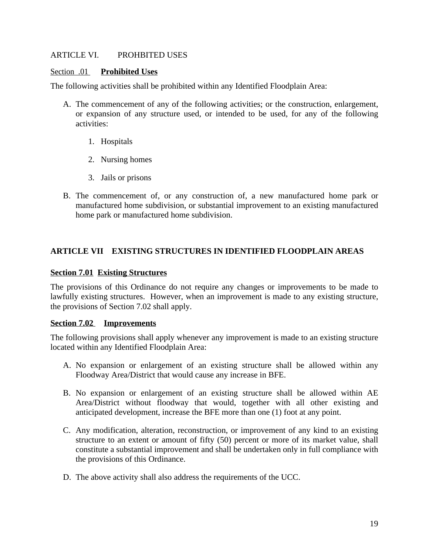### ARTICLE VI. PROHBITED USES

#### Section .01 **Prohibited Uses**

The following activities shall be prohibited within any Identified Floodplain Area:

- A. The commencement of any of the following activities; or the construction, enlargement, or expansion of any structure used, or intended to be used, for any of the following activities:
	- 1. Hospitals
	- 2. Nursing homes
	- 3. Jails or prisons
- B. The commencement of, or any construction of, a new manufactured home park or manufactured home subdivision, or substantial improvement to an existing manufactured home park or manufactured home subdivision.

# **ARTICLE VII EXISTING STRUCTURES IN IDENTIFIED FLOODPLAIN AREAS**

### **Section 7.01 Existing Structures**

The provisions of this Ordinance do not require any changes or improvements to be made to lawfully existing structures. However, when an improvement is made to any existing structure, the provisions of Section 7.02 shall apply.

#### **Section 7.02 Improvements**

The following provisions shall apply whenever any improvement is made to an existing structure located within any Identified Floodplain Area:

- A. No expansion or enlargement of an existing structure shall be allowed within any Floodway Area/District that would cause any increase in BFE.
- B. No expansion or enlargement of an existing structure shall be allowed within AE Area/District without floodway that would, together with all other existing and anticipated development, increase the BFE more than one (1) foot at any point.
- C. Any modification, alteration, reconstruction, or improvement of any kind to an existing structure to an extent or amount of fifty (50) percent or more of its market value, shall constitute a substantial improvement and shall be undertaken only in full compliance with the provisions of this Ordinance.
- D. The above activity shall also address the requirements of the UCC.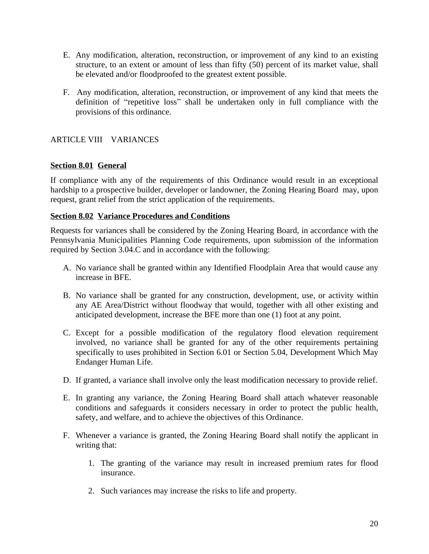- E. Any modification, alteration, reconstruction, or improvement of any kind to an existing structure, to an extent or amount of less than fifty (50) percent of its market value, shall be elevated and/or floodproofed to the greatest extent possible.
- F. Any modification, alteration, reconstruction, or improvement of any kind that meets the definition of "repetitive loss" shall be undertaken only in full compliance with the provisions of this ordinance.

# ARTICLE VIII VARIANCES

## **Section 8.01 General**

If compliance with any of the requirements of this Ordinance would result in an exceptional hardship to a prospective builder, developer or landowner, the Zoning Hearing Board may, upon request, grant relief from the strict application of the requirements.

### **Section 8.02 Variance Procedures and Conditions**

Requests for variances shall be considered by the Zoning Hearing Board, in accordance with the Pennsylvania Municipalities Planning Code requirements, upon submission of the information required by Section 3.04.C and in accordance with the following:

- A. No variance shall be granted within any Identified Floodplain Area that would cause any increase in BFE.
- B. No variance shall be granted for any construction, development, use, or activity within any AE Area/District without floodway that would, together with all other existing and anticipated development, increase the BFE more than one (1) foot at any point.
- C. Except for a possible modification of the regulatory flood elevation requirement involved, no variance shall be granted for any of the other requirements pertaining specifically to uses prohibited in Section 6.01 or Section 5.04, Development Which May Endanger Human Life.
- D. If granted, a variance shall involve only the least modification necessary to provide relief.
- E. In granting any variance, the Zoning Hearing Board shall attach whatever reasonable conditions and safeguards it considers necessary in order to protect the public health, safety, and welfare, and to achieve the objectives of this Ordinance.
- F. Whenever a variance is granted, the Zoning Hearing Board shall notify the applicant in writing that:
	- 1. The granting of the variance may result in increased premium rates for flood insurance.
	- 2. Such variances may increase the risks to life and property.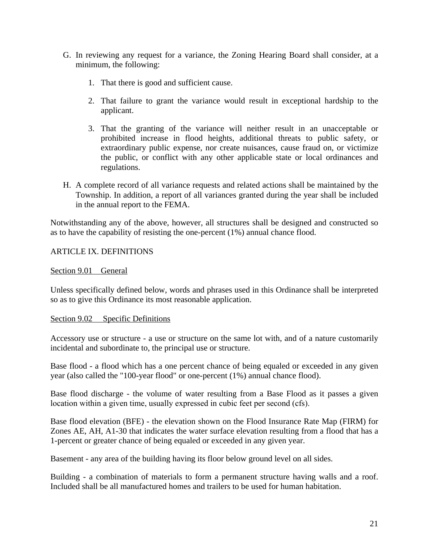- G. In reviewing any request for a variance, the Zoning Hearing Board shall consider, at a minimum, the following:
	- 1. That there is good and sufficient cause.
	- 2. That failure to grant the variance would result in exceptional hardship to the applicant.
	- 3. That the granting of the variance will neither result in an unacceptable or prohibited increase in flood heights, additional threats to public safety, or extraordinary public expense, nor create nuisances, cause fraud on, or victimize the public, or conflict with any other applicable state or local ordinances and regulations.
- H. A complete record of all variance requests and related actions shall be maintained by the Township. In addition, a report of all variances granted during the year shall be included in the annual report to the FEMA.

Notwithstanding any of the above, however, all structures shall be designed and constructed so as to have the capability of resisting the one-percent (1%) annual chance flood.

## ARTICLE IX. DEFINITIONS

### Section 9.01 General

Unless specifically defined below, words and phrases used in this Ordinance shall be interpreted so as to give this Ordinance its most reasonable application.

#### Section 9.02 Specific Definitions

Accessory use or structure - a use or structure on the same lot with, and of a nature customarily incidental and subordinate to, the principal use or structure.

Base flood - a flood which has a one percent chance of being equaled or exceeded in any given year (also called the "100-year flood" or one-percent (1%) annual chance flood).

Base flood discharge - the volume of water resulting from a Base Flood as it passes a given location within a given time, usually expressed in cubic feet per second (cfs).

Base flood elevation (BFE) - the elevation shown on the Flood Insurance Rate Map (FIRM) for Zones AE, AH, A1-30 that indicates the water surface elevation resulting from a flood that has a 1-percent or greater chance of being equaled or exceeded in any given year.

Basement - any area of the building having its floor below ground level on all sides.

Building - a combination of materials to form a permanent structure having walls and a roof. Included shall be all manufactured homes and trailers to be used for human habitation.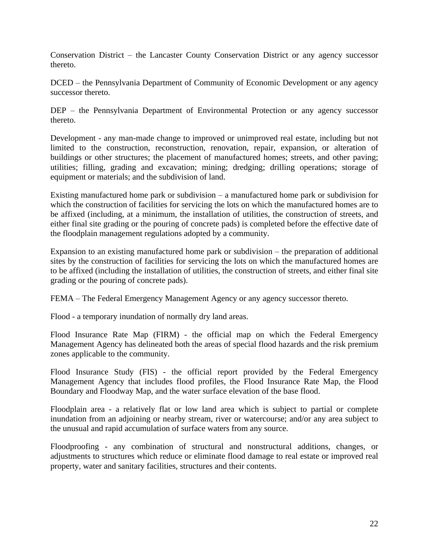Conservation District – the Lancaster County Conservation District or any agency successor thereto.

DCED – the Pennsylvania Department of Community of Economic Development or any agency successor thereto.

DEP – the Pennsylvania Department of Environmental Protection or any agency successor thereto.

Development - any man-made change to improved or unimproved real estate, including but not limited to the construction, reconstruction, renovation, repair, expansion, or alteration of buildings or other structures; the placement of manufactured homes; streets, and other paving; utilities; filling, grading and excavation; mining; dredging; drilling operations; storage of equipment or materials; and the subdivision of land.

Existing manufactured home park or subdivision – a manufactured home park or subdivision for which the construction of facilities for servicing the lots on which the manufactured homes are to be affixed (including, at a minimum, the installation of utilities, the construction of streets, and either final site grading or the pouring of concrete pads) is completed before the effective date of the floodplain management regulations adopted by a community.

Expansion to an existing manufactured home park or subdivision – the preparation of additional sites by the construction of facilities for servicing the lots on which the manufactured homes are to be affixed (including the installation of utilities, the construction of streets, and either final site grading or the pouring of concrete pads).

FEMA – The Federal Emergency Management Agency or any agency successor thereto.

Flood - a temporary inundation of normally dry land areas.

Flood Insurance Rate Map (FIRM) - the official map on which the Federal Emergency Management Agency has delineated both the areas of special flood hazards and the risk premium zones applicable to the community.

Flood Insurance Study (FIS) - the official report provided by the Federal Emergency Management Agency that includes flood profiles, the Flood Insurance Rate Map, the Flood Boundary and Floodway Map, and the water surface elevation of the base flood.

Floodplain area - a relatively flat or low land area which is subject to partial or complete inundation from an adjoining or nearby stream, river or watercourse; and/or any area subject to the unusual and rapid accumulation of surface waters from any source.

Floodproofing - any combination of structural and nonstructural additions, changes, or adjustments to structures which reduce or eliminate flood damage to real estate or improved real property, water and sanitary facilities, structures and their contents.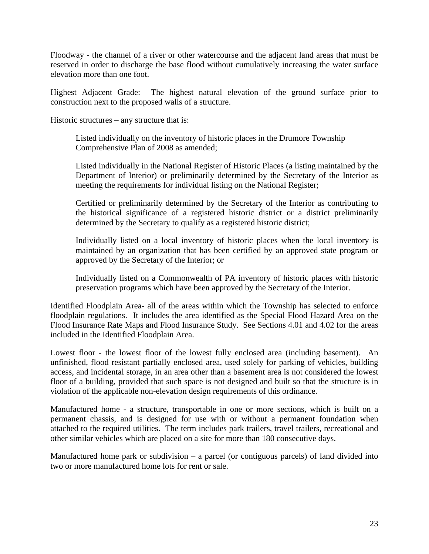Floodway - the channel of a river or other watercourse and the adjacent land areas that must be reserved in order to discharge the base flood without cumulatively increasing the water surface elevation more than one foot.

Highest Adjacent Grade: The highest natural elevation of the ground surface prior to construction next to the proposed walls of a structure.

Historic structures – any structure that is:

Listed individually on the inventory of historic places in the Drumore Township Comprehensive Plan of 2008 as amended;

Listed individually in the National Register of Historic Places (a listing maintained by the Department of Interior) or preliminarily determined by the Secretary of the Interior as meeting the requirements for individual listing on the National Register;

Certified or preliminarily determined by the Secretary of the Interior as contributing to the historical significance of a registered historic district or a district preliminarily determined by the Secretary to qualify as a registered historic district;

Individually listed on a local inventory of historic places when the local inventory is maintained by an organization that has been certified by an approved state program or approved by the Secretary of the Interior; or

Individually listed on a Commonwealth of PA inventory of historic places with historic preservation programs which have been approved by the Secretary of the Interior.

Identified Floodplain Area- all of the areas within which the Township has selected to enforce floodplain regulations. It includes the area identified as the Special Flood Hazard Area on the Flood Insurance Rate Maps and Flood Insurance Study. See Sections 4.01 and 4.02 for the areas included in the Identified Floodplain Area.

Lowest floor - the lowest floor of the lowest fully enclosed area (including basement). An unfinished, flood resistant partially enclosed area, used solely for parking of vehicles, building access, and incidental storage, in an area other than a basement area is not considered the lowest floor of a building, provided that such space is not designed and built so that the structure is in violation of the applicable non-elevation design requirements of this ordinance.

Manufactured home - a structure, transportable in one or more sections, which is built on a permanent chassis, and is designed for use with or without a permanent foundation when attached to the required utilities. The term includes park trailers, travel trailers, recreational and other similar vehicles which are placed on a site for more than 180 consecutive days.

Manufactured home park or subdivision  $-$  a parcel (or contiguous parcels) of land divided into two or more manufactured home lots for rent or sale.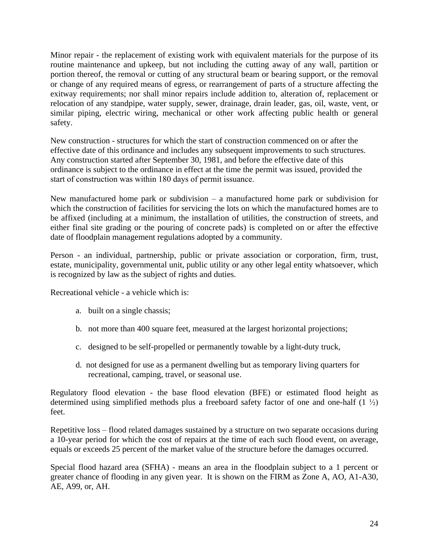Minor repair - the replacement of existing work with equivalent materials for the purpose of its routine maintenance and upkeep, but not including the cutting away of any wall, partition or portion thereof, the removal or cutting of any structural beam or bearing support, or the removal or change of any required means of egress, or rearrangement of parts of a structure affecting the exitway requirements; nor shall minor repairs include addition to, alteration of, replacement or relocation of any standpipe, water supply, sewer, drainage, drain leader, gas, oil, waste, vent, or similar piping, electric wiring, mechanical or other work affecting public health or general safety.

New construction - structures for which the start of construction commenced on or after the effective date of this ordinance and includes any subsequent improvements to such structures. Any construction started after September 30, 1981, and before the effective date of this ordinance is subject to the ordinance in effect at the time the permit was issued, provided the start of construction was within 180 days of permit issuance.

New manufactured home park or subdivision  $-$  a manufactured home park or subdivision for which the construction of facilities for servicing the lots on which the manufactured homes are to be affixed (including at a minimum, the installation of utilities, the construction of streets, and either final site grading or the pouring of concrete pads) is completed on or after the effective date of floodplain management regulations adopted by a community.

Person - an individual, partnership, public or private association or corporation, firm, trust, estate, municipality, governmental unit, public utility or any other legal entity whatsoever, which is recognized by law as the subject of rights and duties.

Recreational vehicle - a vehicle which is:

- a. built on a single chassis;
- b. not more than 400 square feet, measured at the largest horizontal projections;
- c. designed to be self-propelled or permanently towable by a light-duty truck,
- d. not designed for use as a permanent dwelling but as temporary living quarters for recreational, camping, travel, or seasonal use.

Regulatory flood elevation - the base flood elevation (BFE) or estimated flood height as determined using simplified methods plus a freeboard safety factor of one and one-half  $(1 \frac{1}{2})$ feet.

Repetitive loss – flood related damages sustained by a structure on two separate occasions during a 10-year period for which the cost of repairs at the time of each such flood event, on average, equals or exceeds 25 percent of the market value of the structure before the damages occurred.

Special flood hazard area (SFHA) - means an area in the floodplain subject to a 1 percent or greater chance of flooding in any given year. It is shown on the FIRM as Zone A, AO, A1-A30, AE, A99, or, AH.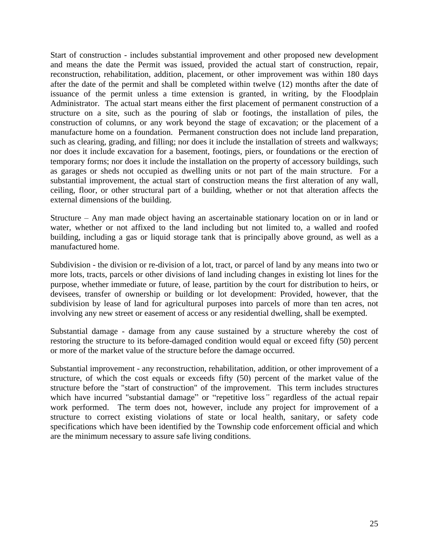Start of construction - includes substantial improvement and other proposed new development and means the date the Permit was issued, provided the actual start of construction, repair, reconstruction, rehabilitation, addition, placement, or other improvement was within 180 days after the date of the permit and shall be completed within twelve (12) months after the date of issuance of the permit unless a time extension is granted, in writing, by the Floodplain Administrator. The actual start means either the first placement of permanent construction of a structure on a site, such as the pouring of slab or footings, the installation of piles, the construction of columns, or any work beyond the stage of excavation; or the placement of a manufacture home on a foundation. Permanent construction does not include land preparation, such as clearing, grading, and filling; nor does it include the installation of streets and walkways; nor does it include excavation for a basement, footings, piers, or foundations or the erection of temporary forms; nor does it include the installation on the property of accessory buildings, such as garages or sheds not occupied as dwelling units or not part of the main structure. For a substantial improvement, the actual start of construction means the first alteration of any wall, ceiling, floor, or other structural part of a building, whether or not that alteration affects the external dimensions of the building.

Structure – Any man made object having an ascertainable stationary location on or in land or water, whether or not affixed to the land including but not limited to, a walled and roofed building, including a gas or liquid storage tank that is principally above ground, as well as a manufactured home.

Subdivision - the division or re-division of a lot, tract, or parcel of land by any means into two or more lots, tracts, parcels or other divisions of land including changes in existing lot lines for the purpose, whether immediate or future, of lease, partition by the court for distribution to heirs, or devisees, transfer of ownership or building or lot development: Provided, however, that the subdivision by lease of land for agricultural purposes into parcels of more than ten acres, not involving any new street or easement of access or any residential dwelling, shall be exempted.

Substantial damage - damage from any cause sustained by a structure whereby the cost of restoring the structure to its before-damaged condition would equal or exceed fifty (50) percent or more of the market value of the structure before the damage occurred.

Substantial improvement - any reconstruction, rehabilitation, addition, or other improvement of a structure, of which the cost equals or exceeds fifty (50) percent of the market value of the structure before the "start of construction" of the improvement. This term includes structures which have incurred "substantial damage" or "repetitive loss*"* regardless of the actual repair work performed. The term does not, however, include any project for improvement of a structure to correct existing violations of state or local health, sanitary, or safety code specifications which have been identified by the Township code enforcement official and which are the minimum necessary to assure safe living conditions.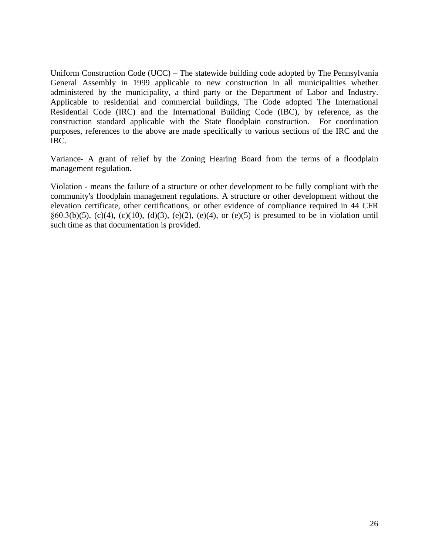Uniform Construction Code (UCC) – The statewide building code adopted by The Pennsylvania General Assembly in 1999 applicable to new construction in all municipalities whether administered by the municipality, a third party or the Department of Labor and Industry. Applicable to residential and commercial buildings, The Code adopted The International Residential Code (IRC) and the International Building Code (IBC), by reference, as the construction standard applicable with the State floodplain construction. For coordination purposes, references to the above are made specifically to various sections of the IRC and the IBC.

Variance- A grant of relief by the Zoning Hearing Board from the terms of a floodplain management regulation.

Violation - means the failure of a structure or other development to be fully compliant with the community's floodplain management regulations. A structure or other development without the elevation certificate, other certifications, or other evidence of compliance required in 44 CFR §60.3(b)(5), (c)(4), (c)(10), (d)(3), (e)(2), (e)(4), or (e)(5) is presumed to be in violation until such time as that documentation is provided.